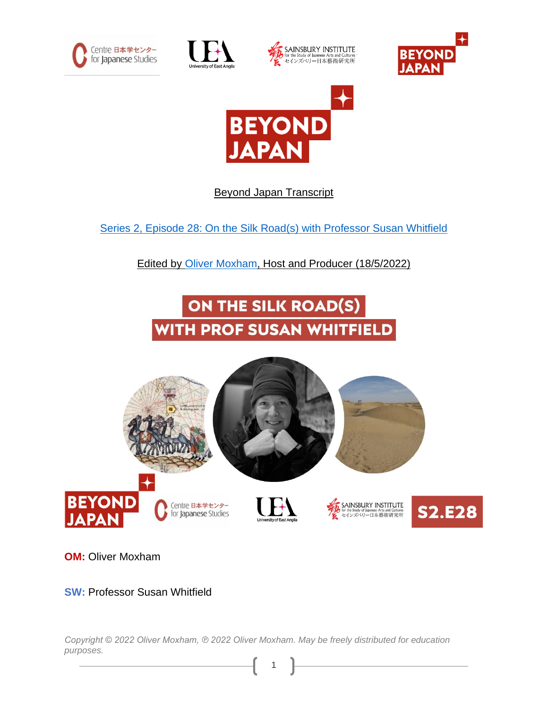









Beyond Japan Transcript

Series 2, Episode 28: [On the Silk Road\(s\) with Professor Susan Whitfield](https://japaninnorwich.org/2022/06/05/s2e27-on-the-silk-roads/)

Edited by [Oliver Moxham,](https://olivermoxham.wordpress.com/) Host and Producer (18/5/2022)

## ON THE SILK ROAD(S) WITH PROF SUSAN WHITFIELD



**OM:** Oliver Moxham

## **SW:** Professor Susan Whitfield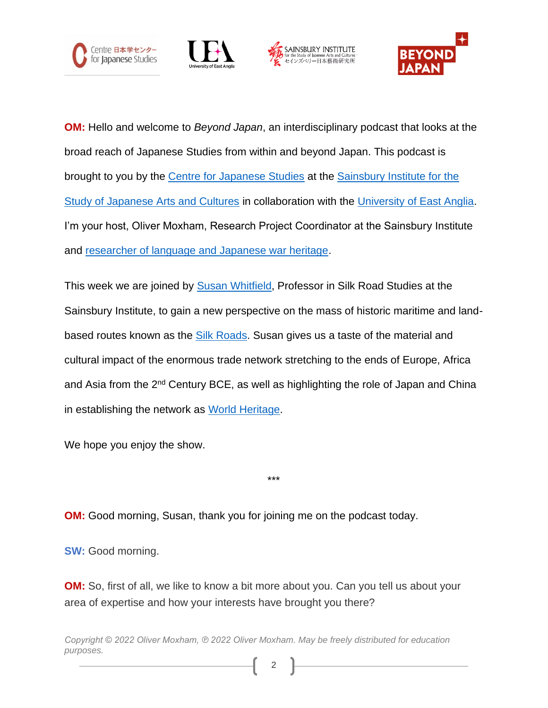







**OM:** Hello and welcome to *Beyond Japan*, an interdisciplinary podcast that looks at the broad reach of Japanese Studies from within and beyond Japan. This podcast is brought to you by the [Centre for Japanese Studies](https://japaninnorwich.org/cjs) at the [Sainsbury Institute for the](https://www.sainsbury-institute.org/)  [Study of Japanese Arts and Cultures](https://www.sainsbury-institute.org/) in collaboration with the [University of East Anglia.](https://www.uea.ac.uk/) I'm your host, Oliver Moxham, Research Project Coordinator at the Sainsbury Institute and [researcher of language and Japanese war heritage.](https://olivermoxham.wordpress.com/tag/phd/)

This week we are joined by [Susan Whitfield,](https://www.sainsbury-institute.org/staff/academic-staff/susan-whitfield/) Professor in Silk Road Studies at the Sainsbury Institute, to gain a new perspective on the mass of historic maritime and land-based routes known as the [Silk Roads.](https://en.unesco.org/silkroad/silk-road-themes/world-cultural-heritage) Susan gives us a taste of the material and cultural impact of the enormous trade network stretching to the ends of Europe, Africa and Asia from the 2<sup>nd</sup> Century BCE, as well as highlighting the role of Japan and China in establishing the network as [World Heritage.](https://whc.unesco.org/)

\*\*\*

We hope you enjoy the show.

**OM:** Good morning, Susan, thank you for joining me on the podcast today.

**SW:** Good morning.

**OM:** So, first of all, we like to know a bit more about you. Can you tell us about your area of expertise and how your interests have brought you there?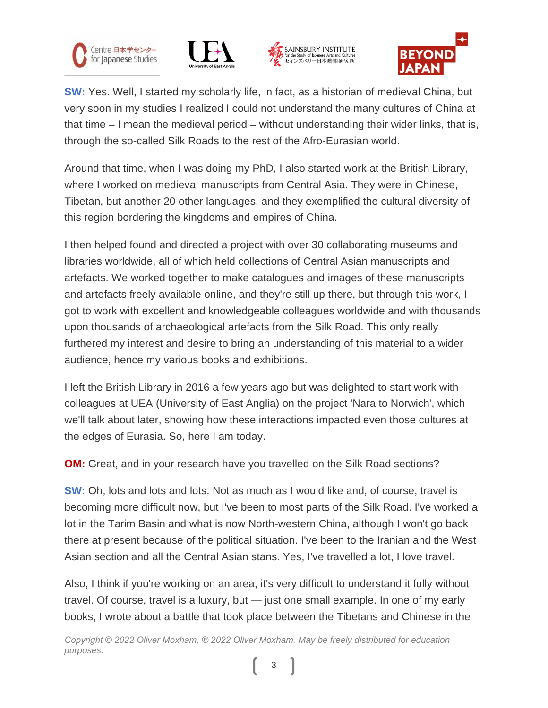







**SW:** Yes. Well, I started my scholarly life, in fact, as a historian of medieval China, but very soon in my studies I realized I could not understand the many cultures of China at that time – I mean the medieval period – without understanding their wider links, that is, through the so-called Silk Roads to the rest of the Afro-Eurasian world.

Around that time, when I was doing my PhD, I also started work at the British Library, where I worked on medieval manuscripts from Central Asia. They were in Chinese, Tibetan, but another 20 other languages, and they exemplified the cultural diversity of this region bordering the kingdoms and empires of China.

I then helped found and directed a project with over 30 collaborating museums and libraries worldwide, all of which held collections of Central Asian manuscripts and artefacts. We worked together to make catalogues and images of these manuscripts and artefacts freely available online, and they're still up there, but through this work, I got to work with excellent and knowledgeable colleagues worldwide and with thousands upon thousands of archaeological artefacts from the Silk Road. This only really furthered my interest and desire to bring an understanding of this material to a wider audience, hence my various books and exhibitions.

I left the British Library in 2016 a few years ago but was delighted to start work with colleagues at UEA (University of East Anglia) on the project 'Nara to Norwich', which we'll talk about later, showing how these interactions impacted even those cultures at the edges of Eurasia. So, here I am today.

**OM:** Great, and in your research have you travelled on the Silk Road sections?

**SW:** Oh, lots and lots and lots. Not as much as I would like and, of course, travel is becoming more difficult now, but I've been to most parts of the Silk Road. I've worked a lot in the Tarim Basin and what is now North-western China, although I won't go back there at present because of the political situation. I've been to the Iranian and the West Asian section and all the Central Asian stans. Yes, I've travelled a lot, I love travel.

Also, I think if you're working on an area, it's very difficult to understand it fully without travel. Of course, travel is a luxury, but — just one small example. In one of my early books, I wrote about a battle that took place between the Tibetans and Chinese in the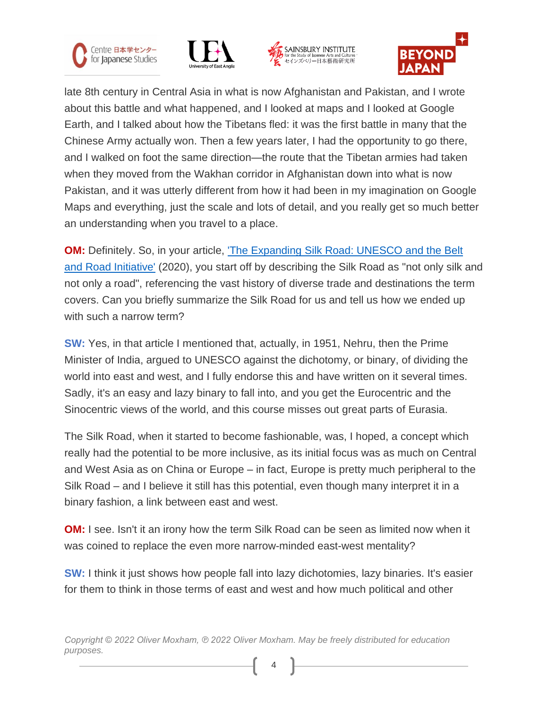







late 8th century in Central Asia in what is now Afghanistan and Pakistan, and I wrote about this battle and what happened, and I looked at maps and I looked at Google Earth, and I talked about how the Tibetans fled: it was the first battle in many that the Chinese Army actually won. Then a few years later, I had the opportunity to go there, and I walked on foot the same direction—the route that the Tibetan armies had taken when they moved from the Wakhan corridor in Afghanistan down into what is now Pakistan, and it was utterly different from how it had been in my imagination on Google Maps and everything, just the scale and lots of detail, and you really get so much better an understanding when you travel to a place.

**OM:** Definitely. So, in your article, 'The [Expanding](https://www.academia.edu/49356730/The_Expanding_Silk_Road_UNESCO_and_BRI) Silk Road: UNESCO and the Belt and Road [Initiative'](https://www.academia.edu/49356730/The_Expanding_Silk_Road_UNESCO_and_BRI) (2020), you start off by describing the Silk Road as "not only silk and not only a road", referencing the vast history of diverse trade and destinations the term covers. Can you briefly summarize the Silk Road for us and tell us how we ended up with such a narrow term?

**SW:** Yes, in that article I mentioned that, actually, in 1951, Nehru, then the Prime Minister of India, argued to UNESCO against the dichotomy, or binary, of dividing the world into east and west, and I fully endorse this and have written on it several times. Sadly, it's an easy and lazy binary to fall into, and you get the Eurocentric and the Sinocentric views of the world, and this course misses out great parts of Eurasia.

The Silk Road, when it started to become fashionable, was, I hoped, a concept which really had the potential to be more inclusive, as its initial focus was as much on Central and West Asia as on China or Europe – in fact, Europe is pretty much peripheral to the Silk Road – and I believe it still has this potential, even though many interpret it in a binary fashion, a link between east and west.

**OM:** I see. Isn't it an irony how the term Silk Road can be seen as limited now when it was coined to replace the even more narrow-minded east-west mentality?

**SW:** I think it just shows how people fall into lazy dichotomies, lazy binaries. It's easier for them to think in those terms of east and west and how much political and other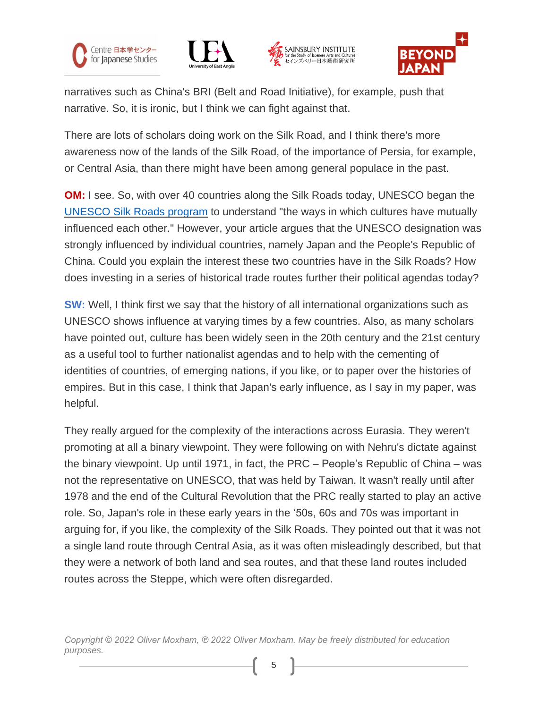







narratives such as China's BRI (Belt and Road Initiative), for example, push that narrative. So, it is ironic, but I think we can fight against that.

There are lots of scholars doing work on the Silk Road, and I think there's more awareness now of the lands of the Silk Road, of the importance of Persia, for example, or Central Asia, than there might have been among general populace in the past.

**OM:** I see. So, with over 40 countries along the Silk Roads today, UNESCO began the [UNESCO](https://en.unesco.org/silkroad/) Silk Roads program to understand "the ways in which cultures have mutually influenced each other." However, your article argues that the UNESCO designation was strongly influenced by individual countries, namely Japan and the People's Republic of China. Could you explain the interest these two countries have in the Silk Roads? How does investing in a series of historical trade routes further their political agendas today?

**SW:** Well, I think first we say that the history of all international organizations such as UNESCO shows influence at varying times by a few countries. Also, as many scholars have pointed out, culture has been widely seen in the 20th century and the 21st century as a useful tool to further nationalist agendas and to help with the cementing of identities of countries, of emerging nations, if you like, or to paper over the histories of empires. But in this case, I think that Japan's early influence, as I say in my paper, was helpful.

They really argued for the complexity of the interactions across Eurasia. They weren't promoting at all a binary viewpoint. They were following on with Nehru's dictate against the binary viewpoint. Up until 1971, in fact, the PRC – People's Republic of China – was not the representative on UNESCO, that was held by Taiwan. It wasn't really until after 1978 and the end of the Cultural Revolution that the PRC really started to play an active role. So, Japan's role in these early years in the '50s, 60s and 70s was important in arguing for, if you like, the complexity of the Silk Roads. They pointed out that it was not a single land route through Central Asia, as it was often misleadingly described, but that they were a network of both land and sea routes, and that these land routes included routes across the Steppe, which were often disregarded.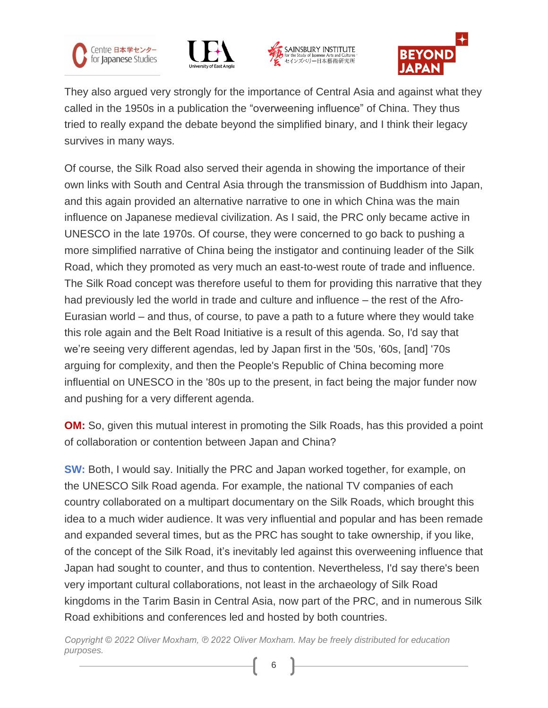







They also argued very strongly for the importance of Central Asia and against what they called in the 1950s in a publication the "overweening influence" of China. They thus tried to really expand the debate beyond the simplified binary, and I think their legacy survives in many ways.

Of course, the Silk Road also served their agenda in showing the importance of their own links with South and Central Asia through the transmission of Buddhism into Japan, and this again provided an alternative narrative to one in which China was the main influence on Japanese medieval civilization. As I said, the PRC only became active in UNESCO in the late 1970s. Of course, they were concerned to go back to pushing a more simplified narrative of China being the instigator and continuing leader of the Silk Road, which they promoted as very much an east-to-west route of trade and influence. The Silk Road concept was therefore useful to them for providing this narrative that they had previously led the world in trade and culture and influence – the rest of the Afro-Eurasian world – and thus, of course, to pave a path to a future where they would take this role again and the Belt Road Initiative is a result of this agenda. So, I'd say that we're seeing very different agendas, led by Japan first in the '50s, '60s, [and] '70s arguing for complexity, and then the People's Republic of China becoming more influential on UNESCO in the '80s up to the present, in fact being the major funder now and pushing for a very different agenda.

**OM:** So, given this mutual interest in promoting the Silk Roads, has this provided a point of collaboration or contention between Japan and China?

**SW:** Both, I would say. Initially the PRC and Japan worked together, for example, on the UNESCO Silk Road agenda. For example, the national TV companies of each country collaborated on a multipart documentary on the Silk Roads, which brought this idea to a much wider audience. It was very influential and popular and has been remade and expanded several times, but as the PRC has sought to take ownership, if you like, of the concept of the Silk Road, it's inevitably led against this overweening influence that Japan had sought to counter, and thus to contention. Nevertheless, I'd say there's been very important cultural collaborations, not least in the archaeology of Silk Road kingdoms in the Tarim Basin in Central Asia, now part of the PRC, and in numerous Silk Road exhibitions and conferences led and hosted by both countries.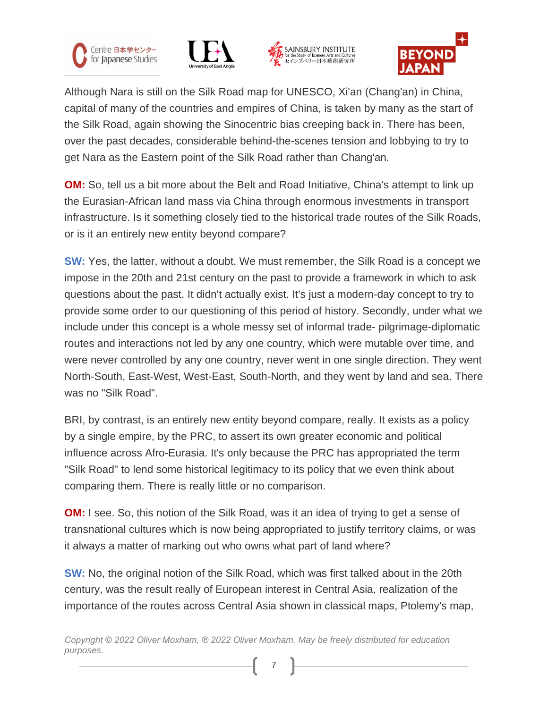







Although Nara is still on the Silk Road map for UNESCO, Xi'an (Chang'an) in China, capital of many of the countries and empires of China, is taken by many as the start of the Silk Road, again showing the Sinocentric bias creeping back in. There has been, over the past decades, considerable behind-the-scenes tension and lobbying to try to get Nara as the Eastern point of the Silk Road rather than Chang'an.

**OM:** So, tell us a bit more about the Belt and Road Initiative, China's attempt to link up the Eurasian-African land mass via China through enormous investments in transport infrastructure. Is it something closely tied to the historical trade routes of the Silk Roads, or is it an entirely new entity beyond compare?

**SW:** Yes, the latter, without a doubt. We must remember, the Silk Road is a concept we impose in the 20th and 21st century on the past to provide a framework in which to ask questions about the past. It didn't actually exist. It's just a modern-day concept to try to provide some order to our questioning of this period of history. Secondly, under what we include under this concept is a whole messy set of informal trade- pilgrimage-diplomatic routes and interactions not led by any one country, which were mutable over time, and were never controlled by any one country, never went in one single direction. They went North-South, East-West, West-East, South-North, and they went by land and sea. There was no "Silk Road".

BRI, by contrast, is an entirely new entity beyond compare, really. It exists as a policy by a single empire, by the PRC, to assert its own greater economic and political influence across Afro-Eurasia. It's only because the PRC has appropriated the term "Silk Road" to lend some historical legitimacy to its policy that we even think about comparing them. There is really little or no comparison.

**OM:** I see. So, this notion of the Silk Road, was it an idea of trying to get a sense of transnational cultures which is now being appropriated to justify territory claims, or was it always a matter of marking out who owns what part of land where?

**SW:** No, the original notion of the Silk Road, which was first talked about in the 20th century, was the result really of European interest in Central Asia, realization of the importance of the routes across Central Asia shown in classical maps, Ptolemy's map,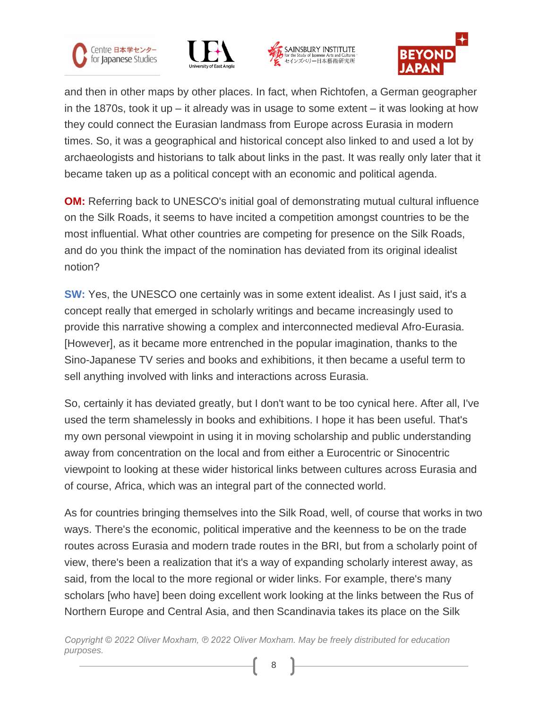







and then in other maps by other places. In fact, when Richtofen, a German geographer in the 1870s, took it up – it already was in usage to some extent – it was looking at how they could connect the Eurasian landmass from Europe across Eurasia in modern times. So, it was a geographical and historical concept also linked to and used a lot by archaeologists and historians to talk about links in the past. It was really only later that it became taken up as a political concept with an economic and political agenda.

**OM:** Referring back to UNESCO's initial goal of demonstrating mutual cultural influence on the Silk Roads, it seems to have incited a competition amongst countries to be the most influential. What other countries are competing for presence on the Silk Roads, and do you think the impact of the nomination has deviated from its original idealist notion?

**SW:** Yes, the UNESCO one certainly was in some extent idealist. As I just said, it's a concept really that emerged in scholarly writings and became increasingly used to provide this narrative showing a complex and interconnected medieval Afro-Eurasia. [However], as it became more entrenched in the popular imagination, thanks to the Sino-Japanese TV series and books and exhibitions, it then became a useful term to sell anything involved with links and interactions across Eurasia.

So, certainly it has deviated greatly, but I don't want to be too cynical here. After all, I've used the term shamelessly in books and exhibitions. I hope it has been useful. That's my own personal viewpoint in using it in moving scholarship and public understanding away from concentration on the local and from either a Eurocentric or Sinocentric viewpoint to looking at these wider historical links between cultures across Eurasia and of course, Africa, which was an integral part of the connected world.

As for countries bringing themselves into the Silk Road, well, of course that works in two ways. There's the economic, political imperative and the keenness to be on the trade routes across Eurasia and modern trade routes in the BRI, but from a scholarly point of view, there's been a realization that it's a way of expanding scholarly interest away, as said, from the local to the more regional or wider links. For example, there's many scholars [who have] been doing excellent work looking at the links between the Rus of Northern Europe and Central Asia, and then Scandinavia takes its place on the Silk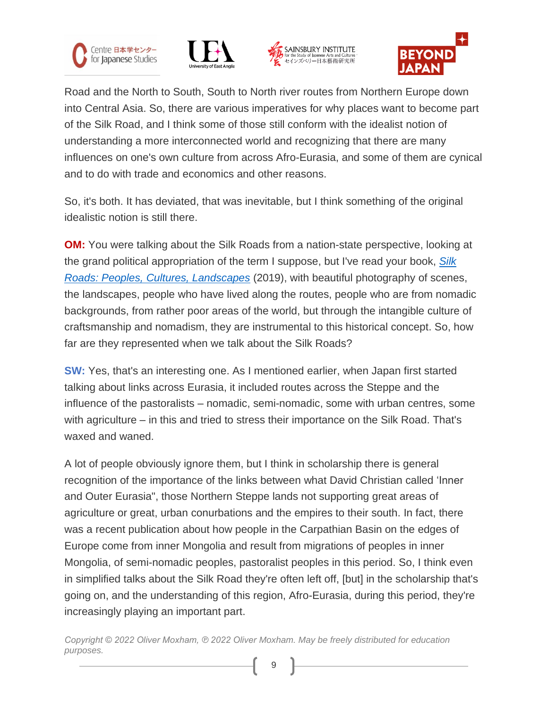







Road and the North to South, South to North river routes from Northern Europe down into Central Asia. So, there are various imperatives for why places want to become part of the Silk Road, and I think some of those still conform with the idealist notion of understanding a more interconnected world and recognizing that there are many influences on one's own culture from across Afro-Eurasia, and some of them are cynical and to do with trade and economics and other reasons.

So, it's both. It has deviated, that was inevitable, but I think something of the original idealistic notion is still there.

**OM:** You were talking about the Silk Roads from a nation-state perspective, looking at the grand political appropriation of the term I suppose, but I've read your book, *[Silk](https://www.ucpress.edu/book/9780520304185/silk-roads) Roads: Peoples, Cultures, [Landscapes](https://www.ucpress.edu/book/9780520304185/silk-roads)* (2019), with beautiful photography of scenes, the landscapes, people who have lived along the routes, people who are from nomadic backgrounds, from rather poor areas of the world, but through the intangible culture of craftsmanship and nomadism, they are instrumental to this historical concept. So, how far are they represented when we talk about the Silk Roads?

**SW:** Yes, that's an interesting one. As I mentioned earlier, when Japan first started talking about links across Eurasia, it included routes across the Steppe and the influence of the pastoralists – nomadic, semi-nomadic, some with urban centres, some with agriculture – in this and tried to stress their importance on the Silk Road. That's waxed and waned.

A lot of people obviously ignore them, but I think in scholarship there is general recognition of the importance of the links between what David Christian called 'Inner and Outer Eurasia", those Northern Steppe lands not supporting great areas of agriculture or great, urban conurbations and the empires to their south. In fact, there was a recent publication about how people in the Carpathian Basin on the edges of Europe come from inner Mongolia and result from migrations of peoples in inner Mongolia, of semi-nomadic peoples, pastoralist peoples in this period. So, I think even in simplified talks about the Silk Road they're often left off, [but] in the scholarship that's going on, and the understanding of this region, Afro-Eurasia, during this period, they're increasingly playing an important part.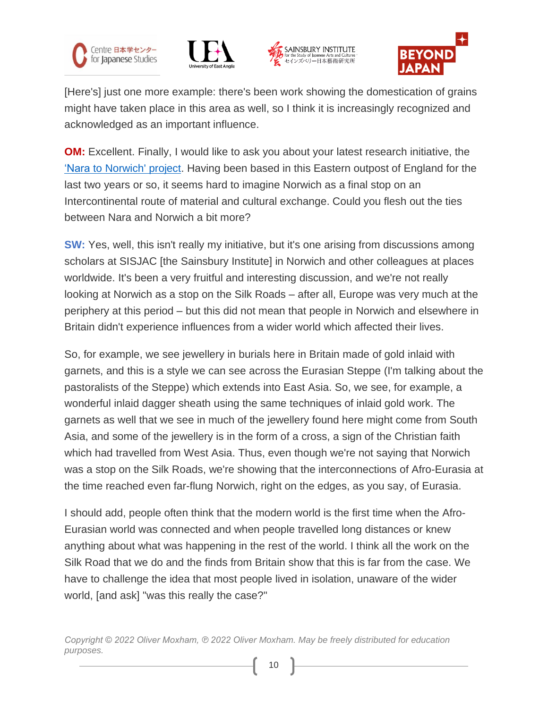







[Here's] just one more example: there's been work showing the domestication of grains might have taken place in this area as well, so I think it is increasingly recognized and acknowledged as an important influence.

**OM:** Excellent. Finally, I would like to ask you about your latest research initiative, the 'Nara to [Norwich'](https://www.sainsbury-institute.org/project/nara-to-norwich-art-and-belief-at-the-extremities-of-the-silk-roads-500-1000/) project. Having been based in this Eastern outpost of England for the last two years or so, it seems hard to imagine Norwich as a final stop on an Intercontinental route of material and cultural exchange. Could you flesh out the ties between Nara and Norwich a bit more?

**SW:** Yes, well, this isn't really my initiative, but it's one arising from discussions among scholars at SISJAC [the Sainsbury Institute] in Norwich and other colleagues at places worldwide. It's been a very fruitful and interesting discussion, and we're not really looking at Norwich as a stop on the Silk Roads – after all, Europe was very much at the periphery at this period – but this did not mean that people in Norwich and elsewhere in Britain didn't experience influences from a wider world which affected their lives.

So, for example, we see jewellery in burials here in Britain made of gold inlaid with garnets, and this is a style we can see across the Eurasian Steppe (I'm talking about the pastoralists of the Steppe) which extends into East Asia. So, we see, for example, a wonderful inlaid dagger sheath using the same techniques of inlaid gold work. The garnets as well that we see in much of the jewellery found here might come from South Asia, and some of the jewellery is in the form of a cross, a sign of the Christian faith which had travelled from West Asia. Thus, even though we're not saying that Norwich was a stop on the Silk Roads, we're showing that the interconnections of Afro-Eurasia at the time reached even far-flung Norwich, right on the edges, as you say, of Eurasia.

I should add, people often think that the modern world is the first time when the Afro-Eurasian world was connected and when people travelled long distances or knew anything about what was happening in the rest of the world. I think all the work on the Silk Road that we do and the finds from Britain show that this is far from the case. We have to challenge the idea that most people lived in isolation, unaware of the wider world, [and ask] "was this really the case?"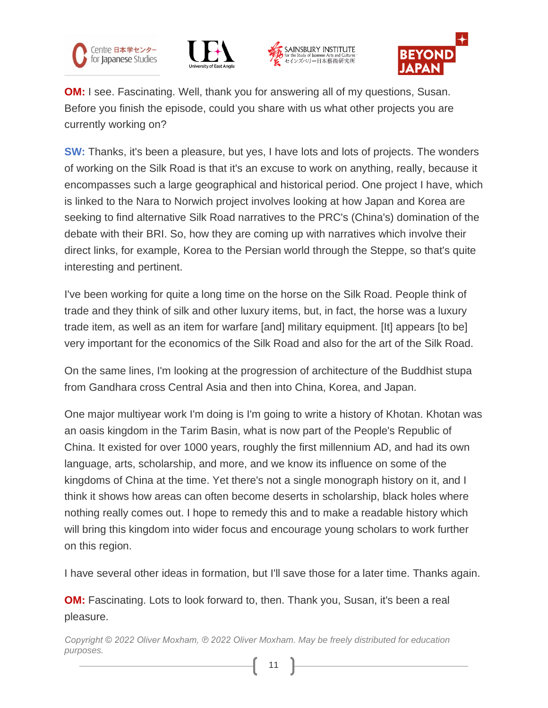







**OM:** I see. Fascinating. Well, thank you for answering all of my questions, Susan. Before you finish the episode, could you share with us what other projects you are currently working on?

**SW:** Thanks, it's been a pleasure, but yes, I have lots and lots of projects. The wonders of working on the Silk Road is that it's an excuse to work on anything, really, because it encompasses such a large geographical and historical period. One project I have, which is linked to the Nara to Norwich project involves looking at how Japan and Korea are seeking to find alternative Silk Road narratives to the PRC's (China's) domination of the debate with their BRI. So, how they are coming up with narratives which involve their direct links, for example, Korea to the Persian world through the Steppe, so that's quite interesting and pertinent.

I've been working for quite a long time on the horse on the Silk Road. People think of trade and they think of silk and other luxury items, but, in fact, the horse was a luxury trade item, as well as an item for warfare [and] military equipment. [It] appears [to be] very important for the economics of the Silk Road and also for the art of the Silk Road.

On the same lines, I'm looking at the progression of architecture of the Buddhist stupa from Gandhara cross Central Asia and then into China, Korea, and Japan.

One major multiyear work I'm doing is I'm going to write a history of Khotan. Khotan was an oasis kingdom in the Tarim Basin, what is now part of the People's Republic of China. It existed for over 1000 years, roughly the first millennium AD, and had its own language, arts, scholarship, and more, and we know its influence on some of the kingdoms of China at the time. Yet there's not a single monograph history on it, and I think it shows how areas can often become deserts in scholarship, black holes where nothing really comes out. I hope to remedy this and to make a readable history which will bring this kingdom into wider focus and encourage young scholars to work further on this region.

I have several other ideas in formation, but I'll save those for a later time. Thanks again.

**OM:** Fascinating. Lots to look forward to, then. Thank you, Susan, it's been a real pleasure.